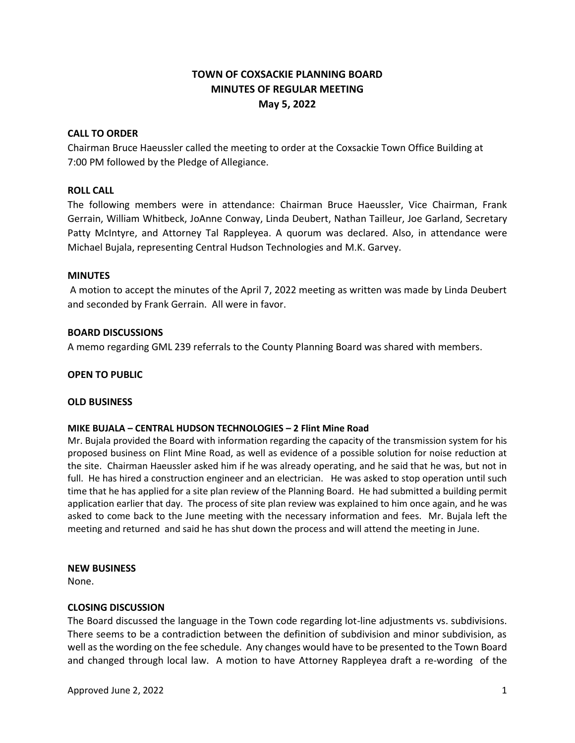# **TOWN OF COXSACKIE PLANNING BOARD MINUTES OF REGULAR MEETING May 5, 2022**

# **CALL TO ORDER**

Chairman Bruce Haeussler called the meeting to order at the Coxsackie Town Office Building at 7:00 PM followed by the Pledge of Allegiance.

# **ROLL CALL**

The following members were in attendance: Chairman Bruce Haeussler, Vice Chairman, Frank Gerrain, William Whitbeck, JoAnne Conway, Linda Deubert, Nathan Tailleur, Joe Garland, Secretary Patty McIntyre, and Attorney Tal Rappleyea. A quorum was declared. Also, in attendance were Michael Bujala, representing Central Hudson Technologies and M.K. Garvey.

### **MINUTES**

A motion to accept the minutes of the April 7, 2022 meeting as written was made by Linda Deubert and seconded by Frank Gerrain. All were in favor.

### **BOARD DISCUSSIONS**

A memo regarding GML 239 referrals to the County Planning Board was shared with members.

### **OPEN TO PUBLIC**

### **OLD BUSINESS**

# **MIKE BUJALA – CENTRAL HUDSON TECHNOLOGIES – 2 Flint Mine Road**

Mr. Bujala provided the Board with information regarding the capacity of the transmission system for his proposed business on Flint Mine Road, as well as evidence of a possible solution for noise reduction at the site. Chairman Haeussler asked him if he was already operating, and he said that he was, but not in full. He has hired a construction engineer and an electrician. He was asked to stop operation until such time that he has applied for a site plan review of the Planning Board. He had submitted a building permit application earlier that day. The process of site plan review was explained to him once again, and he was asked to come back to the June meeting with the necessary information and fees. Mr. Bujala left the meeting and returned and said he has shut down the process and will attend the meeting in June.

### **NEW BUSINESS**

None.

### **CLOSING DISCUSSION**

The Board discussed the language in the Town code regarding lot-line adjustments vs. subdivisions. There seems to be a contradiction between the definition of subdivision and minor subdivision, as well as the wording on the fee schedule. Any changes would have to be presented to the Town Board and changed through local law. A motion to have Attorney Rappleyea draft a re-wording of the